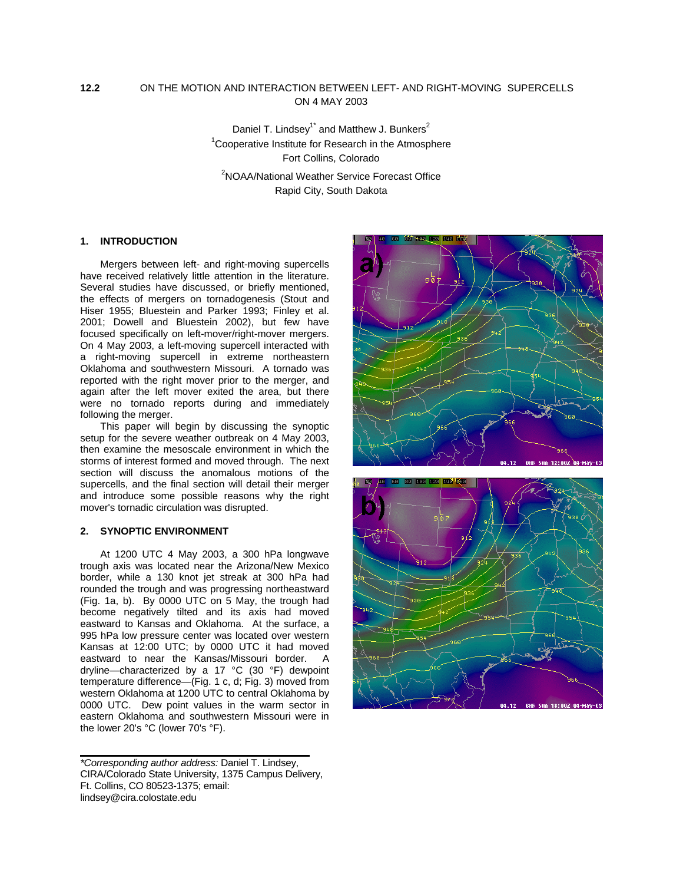# **12.2** ON THE MOTION AND INTERACTION BETWEEN LEFT- AND RIGHT-MOVING SUPERCELLS ON 4 MAY 2003

Daniel T. Lindsey<sup>1\*</sup> and Matthew J. Bunkers<sup>2</sup> <sup>1</sup> Cooperative Institute for Research in the Atmosphere Fort Collins, Colorado <sup>2</sup>NOAA/National Weather Service Forecast Office Rapid City, South Dakota

# **1. INTRODUCTION**

Mergers between left- and right-moving supercells have received relatively little attention in the literature. Several studies have discussed, or briefly mentioned, the effects of mergers on tornadogenesis (Stout and Hiser 1955; Bluestein and Parker 1993; Finley et al. 2001; Dowell and Bluestein 2002), but few have focused specifically on left-mover/right-mover mergers. On 4 May 2003, a left-moving supercell interacted with a right-moving supercell in extreme northeastern Oklahoma and southwestern Missouri. A tornado was reported with the right mover prior to the merger, and again after the left mover exited the area, but there were no tornado reports during and immediately following the merger.

This paper will begin by discussing the synoptic setup for the severe weather outbreak on 4 May 2003, then examine the mesoscale environment in which the storms of interest formed and moved through. The next section will discuss the anomalous motions of the supercells, and the final section will detail their merger and introduce some possible reasons why the right mover's tornadic circulation was disrupted.

# **2. SYNOPTIC ENVIRONMENT**

At 1200 UTC 4 May 2003, a 300 hPa longwave trough axis was located near the Arizona/New Mexico border, while a 130 knot jet streak at 300 hPa had rounded the trough and was progressing northeastward (Fig. 1a, b). By 0000 UTC on 5 May, the trough had become negatively tilted and its axis had moved eastward to Kansas and Oklahoma. At the surface, a 995 hPa low pressure center was located over western Kansas at 12:00 UTC; by 0000 UTC it had moved eastward to near the Kansas/Missouri border. A dryline—characterized by a 17 °C (30 °F) dewpoint temperature difference—(Fig. 1 c, d; Fig. 3) moved from western Oklahoma at 1200 UTC to central Oklahoma by 0000 UTC. Dew point values in the warm sector in eastern Oklahoma and southwestern Missouri were in the lower 20's °C (lower 70's °F).

*\*Corresponding author address:* Daniel T. Lindsey, CIRA/Colorado State University, 1375 Campus Delivery, Ft. Collins, CO 80523-1375; email: lindsey@cira.colostate.edu



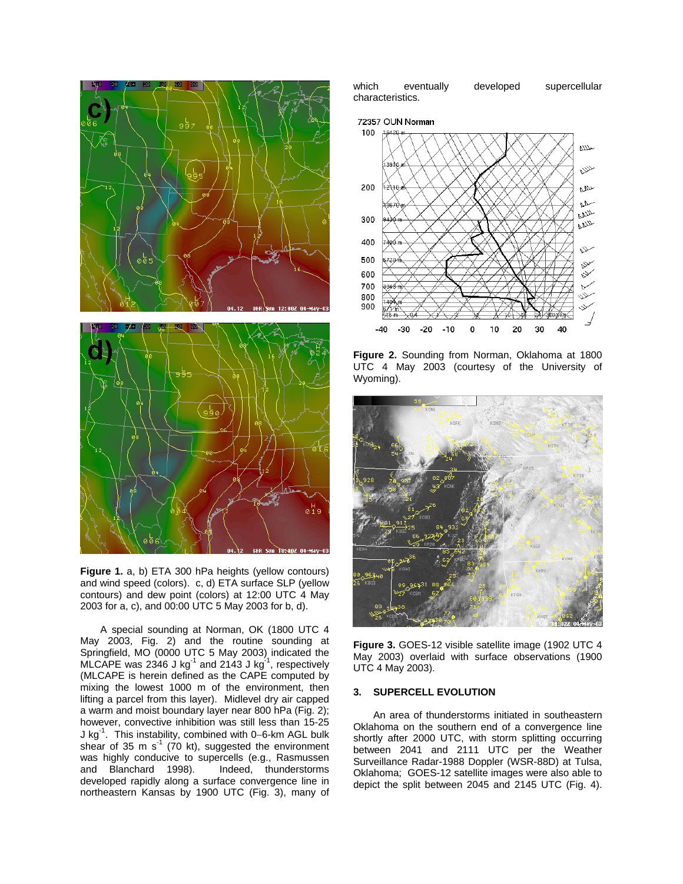

**Figure 1.** a, b) ETA 300 hPa heights (yellow contours) and wind speed (colors). c, d) ETA surface SLP (yellow contours) and dew point (colors) at 12:00 UTC 4 May 2003 for a, c), and 00:00 UTC 5 May 2003 for b, d).

A special sounding at Norman, OK (1800 UTC 4 May 2003, Fig. 2) and the routine sounding at Springfield, MO (0000 UTC 5 May 2003) indicated the MLCAPE was 2346 J kg<sup>-1</sup> and 2143 J kg<sup>-1</sup>, respectively (MLCAPE is herein defined as the CAPE computed by mixing the lowest 1000 m of the environment, then lifting a parcel from this layer). Midlevel dry air capped a warm and moist boundary layer near 800 hPa (Fig. 2); however, convective inhibition was still less than 15-25 J kg-1. This instability, combined with 0−6-km AGL bulk shear of 35 m  $s^{-1}$  (70 kt), suggested the environment was highly conducive to supercells (e.g., Rasmussen and Blanchard 1998). Indeed, thunderstorms developed rapidly along a surface convergence line in northeastern Kansas by 1900 UTC (Fig. 3), many of

which eventually developed supercellular characteristics.





**Figure 2.** Sounding from Norman, Oklahoma at 1800 UTC 4 May 2003 (courtesy of the University of Wyoming).



**Figure 3.** GOES-12 visible satellite image (1902 UTC 4 May 2003) overlaid with surface observations (1900 UTC 4 May 2003).

## **3. SUPERCELL EVOLUTION**

An area of thunderstorms initiated in southeastern Oklahoma on the southern end of a convergence line shortly after 2000 UTC, with storm splitting occurring between 2041 and 2111 UTC per the Weather Surveillance Radar-1988 Doppler (WSR-88D) at Tulsa, Oklahoma; GOES-12 satellite images were also able to depict the split between 2045 and 2145 UTC (Fig. 4).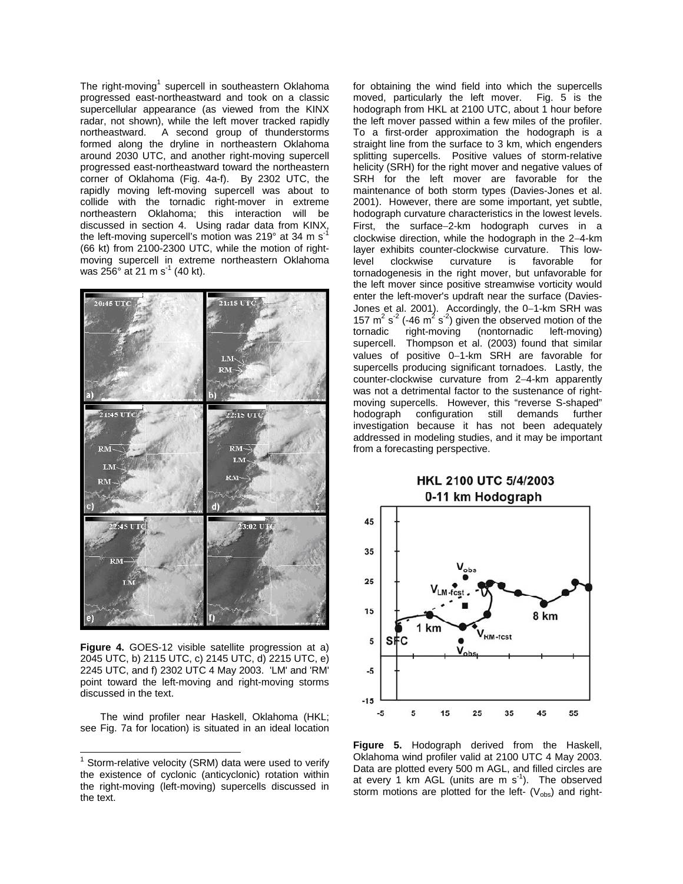The right-moving<sup>[1](#page-2-0)</sup> supercell in southeastern Oklahoma progressed east-northeastward and took on a classic supercellular appearance (as viewed from the KINX radar, not shown), while the left mover tracked rapidly northeastward. A second group of thunderstorms formed along the dryline in northeastern Oklahoma around 2030 UTC, and another right-moving supercell progressed east-northeastward toward the northeastern corner of Oklahoma (Fig. 4a-f). By 2302 UTC, the rapidly moving left-moving supercell was about to collide with the tornadic right-mover in extreme northeastern Oklahoma; this interaction will be discussed in section 4. Using radar data from KINX, the left-moving supercell's motion was 219° at 34 m s<sup>-1</sup> (66 kt) from 2100-2300 UTC, while the motion of rightmoving supercell in extreme northeastern Oklahoma was  $256^{\circ}$  at 21 m s<sup>-1</sup> (40 kt).



**Figure 4.** GOES-12 visible satellite progression at a) 2045 UTC, b) 2115 UTC, c) 2145 UTC, d) 2215 UTC, e) 2245 UTC, and f) 2302 UTC 4 May 2003. 'LM' and 'RM' point toward the left-moving and right-moving storms discussed in the text.

The wind profiler near Haskell, Oklahoma (HKL; see Fig. 7a for location) is situated in an ideal location for obtaining the wind field into which the supercells moved, particularly the left mover. Fig. 5 is the hodograph from HKL at 2100 UTC, about 1 hour before the left mover passed within a few miles of the profiler. To a first-order approximation the hodograph is a straight line from the surface to 3 km, which engenders splitting supercells. Positive values of storm-relative helicity (SRH) for the right mover and negative values of SRH for the left mover are favorable for the maintenance of both storm types (Davies-Jones et al. 2001). However, there are some important, yet subtle, hodograph curvature characteristics in the lowest levels. First, the surface−2-km hodograph curves in a clockwise direction, while the hodograph in the 2−4-km layer exhibits counter-clockwise curvature. This lowlevel clockwise curvature is favorable for tornadogenesis in the right mover, but unfavorable for the left mover since positive streamwise vorticity would enter the left-mover's updraft near the surface (Davies-Jones et al. 2001). Accordingly, the 0−1-km SRH was 157  $\text{m}^2$  s<sup>-2</sup> (-46  $\text{m}^2$  s<sup>-2</sup>) given the observed motion of the tornadic right-moving (nontornadic left-moving) supercell. Thompson et al. (2003) found that similar values of positive 0−1-km SRH are favorable for supercells producing significant tornadoes. Lastly, the counter-clockwise curvature from 2−4-km apparently was not a detrimental factor to the sustenance of rightmoving supercells. However, this "reverse S-shaped" hodograph configuration still demands further investigation because it has not been adequately addressed in modeling studies, and it may be important from a forecasting perspective.

# HKL 2100 UTC 5/4/2003 0-11 km Hodograph



**Figure 5.** Hodograph derived from the Haskell, Oklahoma wind profiler valid at 2100 UTC 4 May 2003. Data are plotted every 500 m AGL, and filled circles are at every 1 km AGL (units are m  $s^{-1}$ ). The observed storm motions are plotted for the left-  $(V_{obs})$  and right-

<span id="page-2-0"></span> $1$  Storm-relative velocity (SRM) data were used to verify the existence of cyclonic (anticyclonic) rotation within the right-moving (left-moving) supercells discussed in the text.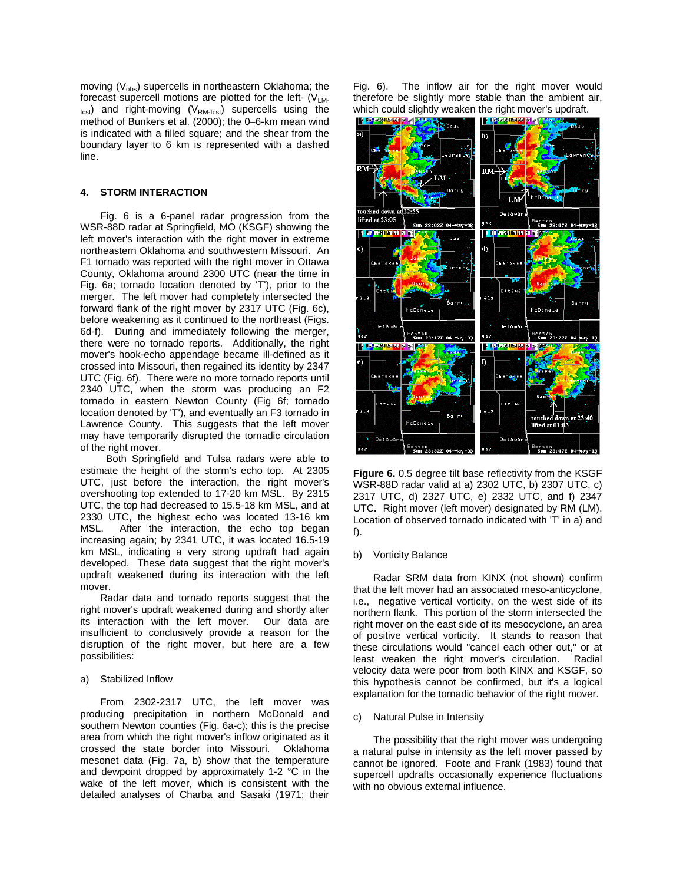moving  $(V_{obs})$  supercells in northeastern Oklahoma; the forecast supercell motions are plotted for the left-  $(V_{LM}$  $_{\text{fest}}$ ) and right-moving (V<sub>RM-fcst</sub>) supercells using the method of Bunkers et al. (2000); the 0−6-km mean wind is indicated with a filled square; and the shear from the boundary layer to 6 km is represented with a dashed line.

# **4. STORM INTERACTION**

Fig. 6 is a 6-panel radar progression from the WSR-88D radar at Springfield, MO (KSGF) showing the left mover's interaction with the right mover in extreme northeastern Oklahoma and southwestern Missouri. An F1 tornado was reported with the right mover in Ottawa County, Oklahoma around 2300 UTC (near the time in Fig. 6a; tornado location denoted by 'T'), prior to the merger. The left mover had completely intersected the forward flank of the right mover by 2317 UTC (Fig. 6c), before weakening as it continued to the northeast (Figs. 6d-f). During and immediately following the merger, there were no tornado reports. Additionally, the right mover's hook-echo appendage became ill-defined as it crossed into Missouri, then regained its identity by 2347 UTC (Fig. 6f). There were no more tornado reports until 2340 UTC, when the storm was producing an F2 tornado in eastern Newton County (Fig 6f; tornado location denoted by 'T'), and eventually an F3 tornado in Lawrence County. This suggests that the left mover may have temporarily disrupted the tornadic circulation of the right mover.

Both Springfield and Tulsa radars were able to estimate the height of the storm's echo top. At 2305 UTC, just before the interaction, the right mover's overshooting top extended to 17-20 km MSL. By 2315 UTC, the top had decreased to 15.5-18 km MSL, and at 2330 UTC, the highest echo was located 13-16 km MSL. After the interaction, the echo top began increasing again; by 2341 UTC, it was located 16.5-19 km MSL, indicating a very strong updraft had again developed. These data suggest that the right mover's updraft weakened during its interaction with the left mover.

Radar data and tornado reports suggest that the right mover's updraft weakened during and shortly after its interaction with the left mover. Our data are insufficient to conclusively provide a reason for the disruption of the right mover, but here are a few possibilities:

#### a) Stabilized Inflow

From 2302-2317 UTC, the left mover was producing precipitation in northern McDonald and southern Newton counties (Fig. 6a-c); this is the precise area from which the right mover's inflow originated as it crossed the state border into Missouri. Oklahoma mesonet data (Fig. 7a, b) show that the temperature and dewpoint dropped by approximately 1-2 °C in the wake of the left mover, which is consistent with the detailed analyses of Charba and Sasaki (1971; their

Fig. 6). The inflow air for the right mover would therefore be slightly more stable than the ambient air, which could slightly weaken the right mover's updraft.



**Figure 6.** 0.5 degree tilt base reflectivity from the KSGF WSR-88D radar valid at a) 2302 UTC, b) 2307 UTC, c) 2317 UTC, d) 2327 UTC, e) 2332 UTC, and f) 2347 UTC**.** Right mover (left mover) designated by RM (LM). Location of observed tornado indicated with 'T' in a) and f).

#### b) Vorticity Balance

Radar SRM data from KINX (not shown) confirm that the left mover had an associated meso-anticyclone, i.e., negative vertical vorticity, on the west side of its northern flank. This portion of the storm intersected the right mover on the east side of its mesocyclone, an area of positive vertical vorticity. It stands to reason that these circulations would "cancel each other out," or at least weaken the right mover's circulation. Radial velocity data were poor from both KINX and KSGF, so this hypothesis cannot be confirmed, but it's a logical explanation for the tornadic behavior of the right mover.

### c) Natural Pulse in Intensity

The possibility that the right mover was undergoing a natural pulse in intensity as the left mover passed by cannot be ignored. Foote and Frank (1983) found that supercell updrafts occasionally experience fluctuations with no obvious external influence.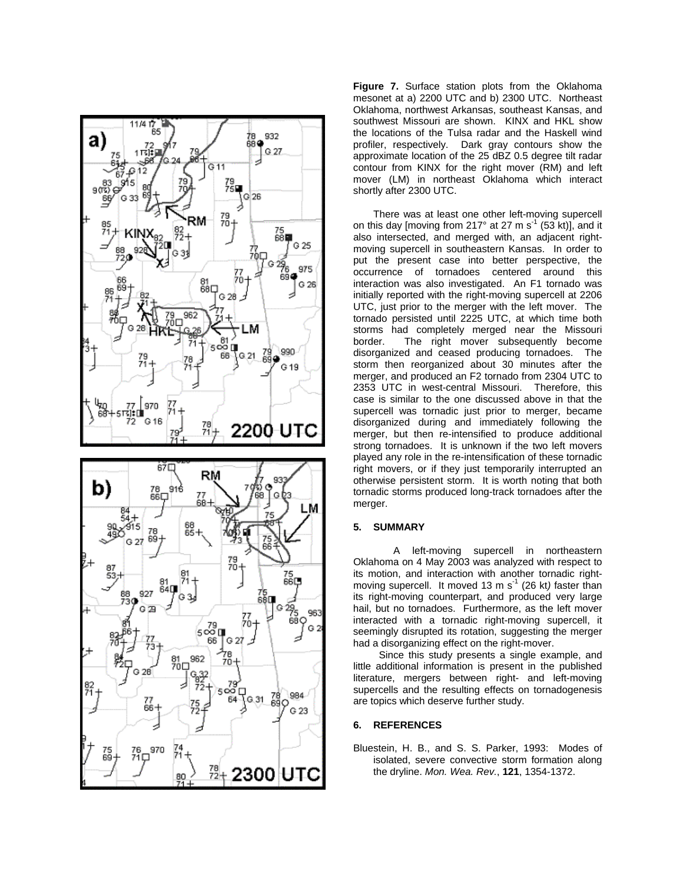

**Figure 7.** Surface station plots from the Oklahoma mesonet at a) 2200 UTC and b) 2300 UTC. Northeast Oklahoma, northwest Arkansas, southeast Kansas, and southwest Missouri are shown. KINX and HKL show the locations of the Tulsa radar and the Haskell wind profiler, respectively. Dark gray contours show the approximate location of the 25 dBZ 0.5 degree tilt radar contour from KINX for the right mover (RM) and left mover (LM) in northeast Oklahoma which interact shortly after 2300 UTC.

There was at least one other left-moving supercell on this day [moving from 217° at 27 m s<sup>-1</sup> (53 kt)], and it also intersected, and merged with, an adjacent rightmoving supercell in southeastern Kansas. In order to put the present case into better perspective, the occurrence of tornadoes centered around this interaction was also investigated. An F1 tornado was initially reported with the right-moving supercell at 2206 UTC, just prior to the merger with the left mover. The tornado persisted until 2225 UTC, at which time both storms had completely merged near the Missouri border. The right mover subsequently become disorganized and ceased producing tornadoes. The storm then reorganized about 30 minutes after the merger, and produced an F2 tornado from 2304 UTC to 2353 UTC in west-central Missouri. Therefore, this case is similar to the one discussed above in that the supercell was tornadic just prior to merger, became disorganized during and immediately following the merger, but then re-intensified to produce additional strong tornadoes. It is unknown if the two left movers played any role in the re-intensification of these tornadic right movers, or if they just temporarily interrupted an otherwise persistent storm. It is worth noting that both tornadic storms produced long-track tornadoes after the merger.

# **5. SUMMARY**

A left-moving supercell in northeastern Oklahoma on 4 May 2003 was analyzed with respect to its motion, and interaction with another tornadic rightmoving supercell. It moved 13 m s<sup>-1</sup> (26 kt) faster than its right-moving counterpart, and produced very large hail, but no tornadoes. Furthermore, as the left mover interacted with a tornadic right-moving supercell, it seemingly disrupted its rotation, suggesting the merger had a disorganizing effect on the right-mover.

Since this study presents a single example, and little additional information is present in the published literature, mergers between right- and left-moving supercells and the resulting effects on tornadogenesis are topics which deserve further study.

# **6. REFERENCES**

Bluestein, H. B., and S. S. Parker, 1993: Modes of isolated, severe convective storm formation along the dryline. *Mon. Wea. Rev.*, **121**, 1354-1372.